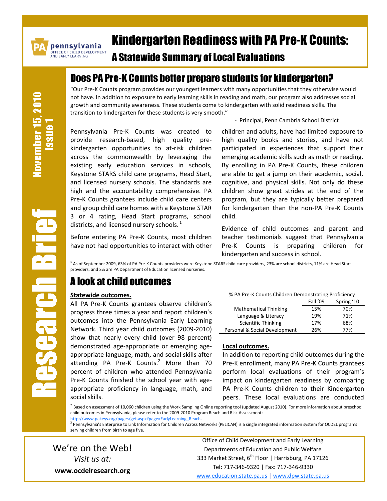

pennsylvania .<br>OFFICE OF CHILD DEVELOPMENT<br>AND EARLY LEARNING

# Kindergarten Readiness with PA Pre-K Counts:

## A Statewide Summary of Local Evaluations

# Does PA Pre-K Counts better prepare students for kindergarten?

"Our Pre-K Counts program provides our youngest learners with many opportunities that they otherwise would not have. In addition to exposure to early learning skills in reading and math, our program also addresses social growth and community awareness. These students come to kindergarten with solid readiness skills. The transition to kindergarten for these students is very smooth."

- Principal, Penn Cambria School District

Pennsylvania Pre-K Counts was created to provide research-based, high quality prekindergarten opportunities to at-risk children across the commonwealth by leveraging the existing early education services in schools, Keystone STARS child care programs, Head Start, and licensed nursery schools. The standards are high and the accountability comprehensive. PA Pre-K Counts grantees include child care centers and group child care homes with a Keystone STAR 3 or 4 rating, Head Start programs, school districts, and licensed nursery schools. $<sup>1</sup>$ </sup>

Before entering PA Pre-K Counts, most children have not had opportunities to interact with other

children and adults, have had limited exposure to high quality books and stories, and have not participated in experiences that support their emerging academic skills such as math or reading. By enrolling in PA Pre-K Counts, these children are able to get a jump on their academic, social, cognitive, and physical skills. Not only do these children show great strides at the end of the program, but they are typically better prepared for kindergarten than the non-PA Pre-K Counts child.

Evidence of child outcomes and parent and teacher testimonials suggest that Pennsylvania Pre-K Counts is preparing children for kindergarten and success in school.

<sup>1</sup> As of September 2009, 63% of PA Pre-K Counts providers were Keystone STARS child care providers, 23% are school districts, 11% are Head Start providers, and 3% are PA Department of Education licensed nurseries.

### A look at child outcomes

#### **Statewide outcomes.**

All PA Pre-K Counts grantees observe children's progress three times a year and report children's outcomes into the Pennsylvania Early Learning Network. Third year child outcomes (2009-2010) show that nearly every child (over 98 percent) demonstrated age-appropriate or emerging ageappropriate language, math, and social skills after attending PA Pre-K Counts. $2$  More than 70 percent of children who attended Pennsylvania Pre-K Counts finished the school year with ageappropriate proficiency in language, math, and social skills.

| % PA Pre-K Counts Children Demonstrating Proficiency |          |            |
|------------------------------------------------------|----------|------------|
|                                                      | Fall '09 | Spring '10 |
| <b>Mathematical Thinking</b>                         | 15%      | 70%        |
| Language & Literacy                                  | 19%      | 71%        |
| Scientific Thinking                                  | 17%      | 68%        |
| Personal & Social Development                        | 26%      | 77%        |

#### **Local outcomes.**

In addition to reporting child outcomes during the Pre-K enrollment, many PA Pre-K Counts grantees perform local evaluations of their program's impact on kindergarten readiness by comparing PA Pre-K Counts children to their Kindergarten peers. These local evaluations are conducted

<sup>2</sup> Based on assessment of 10,060 children using the Work Sampling Online reporting tool (updated August 2010). For more information about preschool child outcomes in Pennsylvania, please refer to the 2009-2010 Program Reach and Risk Assessment:

<u>http://www.pakeys.org/pages/get.aspx?page=EarlyLearning\_Reach</u>.<br><sup>3</sup> Pennsylvania's Enterprise to Link Information for Children Across Networks (PELICAN) is a single integrated information system for OCDEL programs serving children from birth to age five.

We're on the Web! *Visit us at:* **www.ocdelresearch.org**

Office of Child Development and Early Learning Departments of Education and Public Welfare 333 Market Street, 6<sup>th</sup> Floor | Harrisburg, PA 17126 Tel: 717-346-9320 | Fax: 717-346-9330 [www.education.state.pa.us](http://www.education.state.pa.us/) | [www.dpw.state.pa.us](http://www.dpw.state.pa.us/)

November 15, 2010